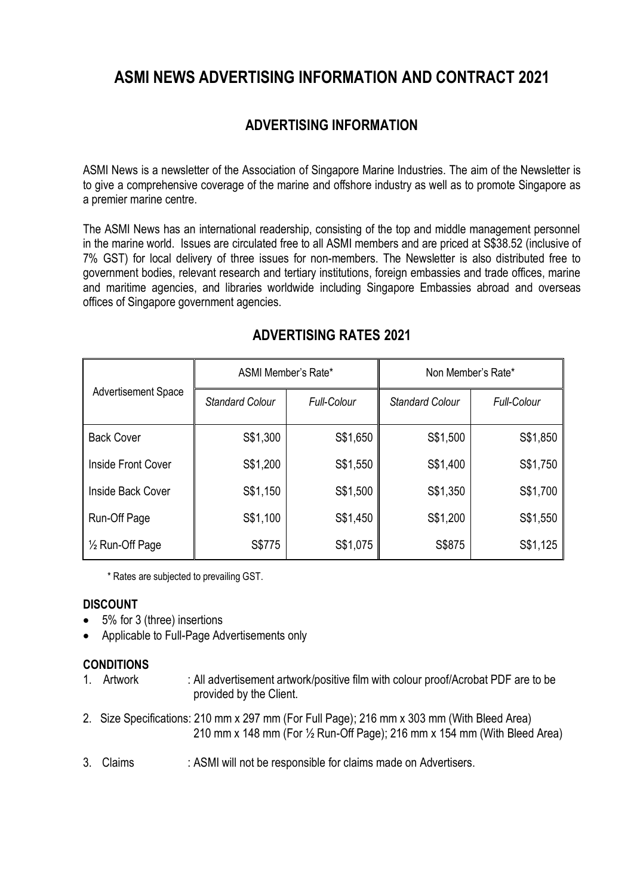# **ASMI NEWS ADVERTISING INFORMATION AND CONTRACT 2021**

### **ADVERTISING INFORMATION**

ASMI News is a newsletter of the Association of Singapore Marine Industries. The aim of the Newsletter is to give a comprehensive coverage of the marine and offshore industry as well as to promote Singapore as a premier marine centre.

The ASMI News has an international readership, consisting of the top and middle management personnel in the marine world. Issues are circulated free to all ASMI members and are priced at S\$38.52 (inclusive of 7% GST) for local delivery of three issues for non-members. The Newsletter is also distributed free to government bodies, relevant research and tertiary institutions, foreign embassies and trade offices, marine and maritime agencies, and libraries worldwide including Singapore Embassies abroad and overseas offices of Singapore government agencies.

| <b>Advertisement Space</b> | ASMI Member's Rate*    |                    | Non Member's Rate*     |                    |
|----------------------------|------------------------|--------------------|------------------------|--------------------|
|                            | <b>Standard Colour</b> | <b>Full-Colour</b> | <b>Standard Colour</b> | <b>Full-Colour</b> |
| <b>Back Cover</b>          | S\$1,300               | S\$1,650           | S\$1,500               | S\$1,850           |
| Inside Front Cover         | S\$1,200               | S\$1,550           | S\$1,400               | S\$1,750           |
| Inside Back Cover          | S\$1,150               | S\$1,500           | S\$1,350               | S\$1,700           |
| Run-Off Page               | S\$1,100               | S\$1,450           | S\$1,200               | S\$1,550           |
| $\frac{1}{2}$ Run-Off Page | S\$775                 | S\$1,075           | S\$875                 | S\$1,125           |

### **ADVERTISING RATES 2021**

\* Rates are subjected to prevailing GST.

#### **DISCOUNT**

- 5% for 3 (three) insertions
- Applicable to Full-Page Advertisements only

#### **CONDITIONS**

- 1. Artwork : All advertisement artwork/positive film with colour proof/Acrobat PDF are to be provided by the Client.
- 2. Size Specifications: 210 mm x 297 mm (For Full Page); 216 mm x 303 mm (With Bleed Area) 210 mm x 148 mm (For ½ Run-Off Page); 216 mm x 154 mm (With Bleed Area)
- 3. Claims : ASMI will not be responsible for claims made on Advertisers.